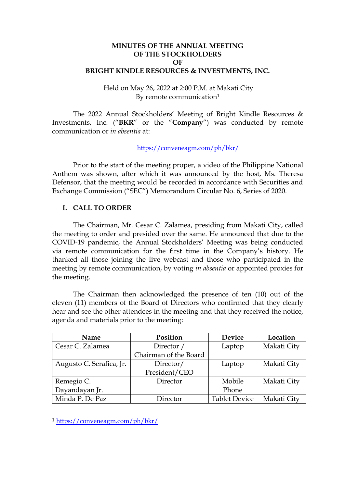## **MINUTES OF THE ANNUAL MEETING OF THE STOCKHOLDERS OF BRIGHT KINDLE RESOURCES & INVESTMENTS, INC.**

## Held on May 26, 2022 at 2:00 P.M. at Makati City By remote communication<sup>1</sup>

The 2022 Annual Stockholders' Meeting of Bright Kindle Resources & Investments, Inc. ("**BKR**" or the "**Company**") was conducted by remote communication or *in absentia* at:

[https://conveneagm.com/ph/bkr/](https://conveneagm.com/ph/brightkindle)

Prior to the start of the meeting proper, a video of the Philippine National Anthem was shown, after which it was announced by the host, Ms. Theresa Defensor, that the meeting would be recorded in accordance with Securities and Exchange Commission ("SEC") Memorandum Circular No. 6, Series of 2020.

## **I. CALL TO ORDER**

The Chairman, Mr. Cesar C. Zalamea, presiding from Makati City, called the meeting to order and presided over the same. He announced that due to the COVID-19 pandemic, the Annual Stockholders' Meeting was being conducted via remote communication for the first time in the Company's history. He thanked all those joining the live webcast and those who participated in the meeting by remote communication, by voting *in absentia* or appointed proxies for the meeting.

The Chairman then acknowledged the presence of ten (10) out of the eleven (11) members of the Board of Directors who confirmed that they clearly hear and see the other attendees in the meeting and that they received the notice, agenda and materials prior to the meeting:

| <b>Name</b>              | Position              | <b>Device</b>        | Location    |  |
|--------------------------|-----------------------|----------------------|-------------|--|
| Cesar C. Zalamea         | Director /            | Laptop               | Makati City |  |
|                          | Chairman of the Board |                      |             |  |
| Augusto C. Serafica, Jr. | Director/             | Laptop               | Makati City |  |
|                          | President/CEO         |                      |             |  |
| Remegio C.               | Director              | Mobile               | Makati City |  |
| Dayandayan Jr.           |                       | Phone                |             |  |
| Minda P. De Paz          | Director              | <b>Tablet Device</b> | Makati City |  |

<sup>1</sup> [https://conveneagm.com/ph/bkr/](https://conveneagm.com/ph/brightkindle)

-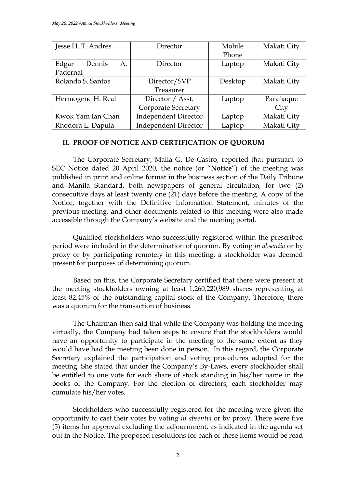| Jesse H. T. Andres    | Director                    | Mobile  | Makati City |
|-----------------------|-----------------------------|---------|-------------|
|                       |                             | Phone   |             |
| Edgar<br>A.<br>Dennis | Director                    | Laptop  | Makati City |
| Padernal              |                             |         |             |
| Rolando S. Santos     | Director/SVP                | Desktop | Makati City |
|                       | Treasurer                   |         |             |
| Hermogene H. Real     | Director / Asst.            | Laptop  | Parañaque   |
|                       | Corporate Secretary         |         | City        |
| Kwok Yam Ian Chan     | <b>Independent Director</b> | Laptop  | Makati City |
| Rhodora L. Dapula     | <b>Independent Director</b> | Laptop  | Makati City |

#### **II. PROOF OF NOTICE AND CERTIFICATION OF QUORUM**

The Corporate Secretary, Maila G. De Castro, reported that pursuant to SEC Notice dated 20 April 2020, the notice (or "**Notice**") of the meeting was published in print and online format in the business section of the Daily Tribune and Manila Standard, both newspapers of general circulation, for two (2) consecutive days at least twenty one (21) days before the meeting. A copy of the Notice, together with the Definitive Information Statement, minutes of the previous meeting, and other documents related to this meeting were also made accessible through the Company's website and the meeting portal.

Qualified stockholders who successfully registered within the prescribed period were included in the determination of quorum. By voting *in absentia* or by proxy or by participating remotely in this meeting, a stockholder was deemed present for purposes of determining quorum.

Based on this, the Corporate Secretary certified that there were present at the meeting stockholders owning at least 1,260,220,989 shares representing at least 82.45% of the outstanding capital stock of the Company. Therefore, there was a quorum for the transaction of business.

The Chairman then said that while the Company was holding the meeting virtually, the Company had taken steps to ensure that the stockholders would have an opportunity to participate in the meeting to the same extent as they would have had the meeting been done in person. In this regard, the Corporate Secretary explained the participation and voting procedures adopted for the meeting. She stated that under the Company's By-Laws, every stockholder shall be entitled to one vote for each share of stock standing in his/her name in the books of the Company. For the election of directors, each stockholder may cumulate his/her votes.

Stockholders who successfully registered for the meeting were given the opportunity to cast their votes by voting *in absentia* or by proxy. There were five (5) items for approval excluding the adjournment, as indicated in the agenda set out in the Notice. The proposed resolutions for each of these items would be read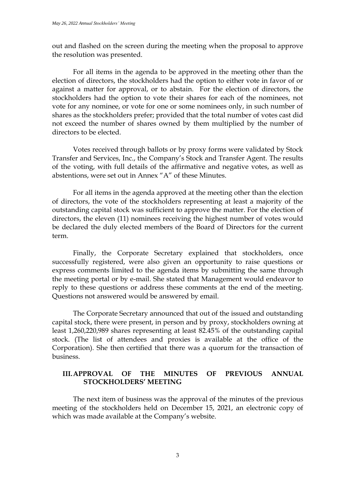out and flashed on the screen during the meeting when the proposal to approve the resolution was presented.

For all items in the agenda to be approved in the meeting other than the election of directors, the stockholders had the option to either vote in favor of or against a matter for approval, or to abstain. For the election of directors, the stockholders had the option to vote their shares for each of the nominees, not vote for any nominee, or vote for one or some nominees only, in such number of shares as the stockholders prefer; provided that the total number of votes cast did not exceed the number of shares owned by them multiplied by the number of directors to be elected.

Votes received through ballots or by proxy forms were validated by Stock Transfer and Services, Inc., the Company's Stock and Transfer Agent. The results of the voting, with full details of the affirmative and negative votes, as well as abstentions, were set out in Annex "A" of these Minutes.

For all items in the agenda approved at the meeting other than the election of directors, the vote of the stockholders representing at least a majority of the outstanding capital stock was sufficient to approve the matter. For the election of directors, the eleven (11) nominees receiving the highest number of votes would be declared the duly elected members of the Board of Directors for the current term.

Finally, the Corporate Secretary explained that stockholders, once successfully registered, were also given an opportunity to raise questions or express comments limited to the agenda items by submitting the same through the meeting portal or by e-mail. She stated that Management would endeavor to reply to these questions or address these comments at the end of the meeting. Questions not answered would be answered by email.

The Corporate Secretary announced that out of the issued and outstanding capital stock, there were present, in person and by proxy, stockholders owning at least 1,260,220,989 shares representing at least 82.45% of the outstanding capital stock. (The list of attendees and proxies is available at the office of the Corporation). She then certified that there was a quorum for the transaction of business.

# **III.APPROVAL OF THE MINUTES OF PREVIOUS ANNUAL STOCKHOLDERS' MEETING**

The next item of business was the approval of the minutes of the previous meeting of the stockholders held on December 15, 2021, an electronic copy of which was made available at the Company's website.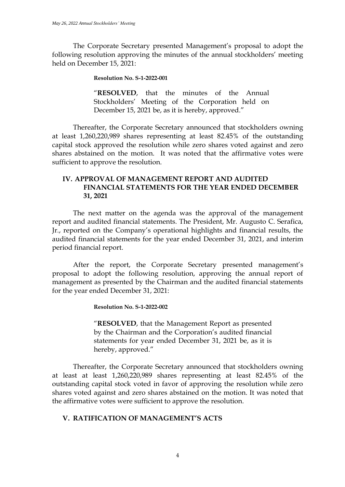The Corporate Secretary presented Management's proposal to adopt the following resolution approving the minutes of the annual stockholders' meeting held on December 15, 2021:

**Resolution No. S-1-2022-001**

"**RESOLVED**, that the minutes of the Annual Stockholders' Meeting of the Corporation held on December 15, 2021 be, as it is hereby, approved."

Thereafter, the Corporate Secretary announced that stockholders owning at least 1,260,220,989 shares representing at least 82.45% of the outstanding capital stock approved the resolution while zero shares voted against and zero shares abstained on the motion. It was noted that the affirmative votes were sufficient to approve the resolution.

# **IV. APPROVAL OF MANAGEMENT REPORT AND AUDITED FINANCIAL STATEMENTS FOR THE YEAR ENDED DECEMBER 31, 2021**

The next matter on the agenda was the approval of the management report and audited financial statements. The President, Mr. Augusto C. Serafica, Jr., reported on the Company's operational highlights and financial results, the audited financial statements for the year ended December 31, 2021, and interim period financial report.

After the report, the Corporate Secretary presented management's proposal to adopt the following resolution, approving the annual report of management as presented by the Chairman and the audited financial statements for the year ended December 31, 2021:

**Resolution No. S-1-2022-002**

"**RESOLVED**, that the Management Report as presented by the Chairman and the Corporation's audited financial statements for year ended December 31, 2021 be, as it is hereby, approved."

Thereafter, the Corporate Secretary announced that stockholders owning at least at least 1,260,220,989 shares representing at least 82.45% of the outstanding capital stock voted in favor of approving the resolution while zero shares voted against and zero shares abstained on the motion. It was noted that the affirmative votes were sufficient to approve the resolution.

# **V. RATIFICATION OF MANAGEMENT'S ACTS**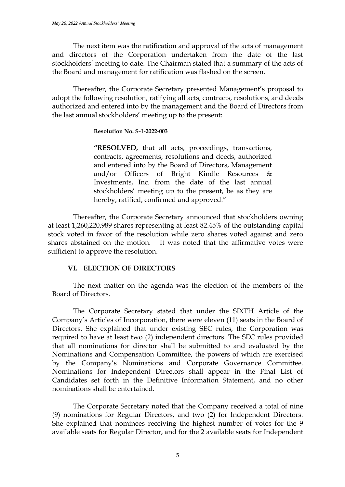The next item was the ratification and approval of the acts of management and directors of the Corporation undertaken from the date of the last stockholders' meeting to date. The Chairman stated that a summary of the acts of the Board and management for ratification was flashed on the screen.

Thereafter, the Corporate Secretary presented Management's proposal to adopt the following resolution, ratifying all acts, contracts, resolutions, and deeds authorized and entered into by the management and the Board of Directors from the last annual stockholders' meeting up to the present:

#### **Resolution No. S-1-2022-003**

**"RESOLVED,** that all acts, proceedings, transactions, contracts, agreements, resolutions and deeds, authorized and entered into by the Board of Directors, Management and/or Officers of Bright Kindle Resources & Investments, Inc. from the date of the last annual stockholders' meeting up to the present, be as they are hereby, ratified, confirmed and approved."

Thereafter, the Corporate Secretary announced that stockholders owning at least 1,260,220,989 shares representing at least 82.45% of the outstanding capital stock voted in favor of the resolution while zero shares voted against and zero shares abstained on the motion. It was noted that the affirmative votes were sufficient to approve the resolution.

## **VI. ELECTION OF DIRECTORS**

The next matter on the agenda was the election of the members of the Board of Directors.

The Corporate Secretary stated that under the SIXTH Article of the Company's Articles of Incorporation, there were eleven (11) seats in the Board of Directors. She explained that under existing SEC rules, the Corporation was required to have at least two (2) independent directors. The SEC rules provided that all nominations for director shall be submitted to and evaluated by the Nominations and Compensation Committee, the powers of which are exercised by the Company's Nominations and Corporate Governance Committee. Nominations for Independent Directors shall appear in the Final List of Candidates set forth in the Definitive Information Statement, and no other nominations shall be entertained.

The Corporate Secretary noted that the Company received a total of nine (9) nominations for Regular Directors, and two (2) for Independent Directors. She explained that nominees receiving the highest number of votes for the 9 available seats for Regular Director, and for the 2 available seats for Independent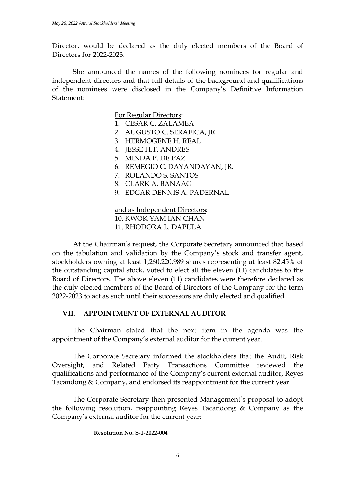Director, would be declared as the duly elected members of the Board of Directors for 2022-2023.

She announced the names of the following nominees for regular and independent directors and that full details of the background and qualifications of the nominees were disclosed in the Company's Definitive Information Statement:

For Regular Directors:

- 1. CESAR C. ZALAMEA
- 2. AUGUSTO C. SERAFICA, JR.
- 3. HERMOGENE H. REAL
- 4. JESSE H.T. ANDRES
- 5. MINDA P. DE PAZ
- 6. REMEGIO C. DAYANDAYAN, JR.
- 7. ROLANDO S. SANTOS
- 8. CLARK A. BANAAG
- 9. EDGAR DENNIS A. PADERNAL

and as Independent Directors: 10. KWOK YAM IAN CHAN 11. RHODORA L. DAPULA

At the Chairman's request, the Corporate Secretary announced that based on the tabulation and validation by the Company's stock and transfer agent, stockholders owning at least 1,260,220,989 shares representing at least 82.45% of the outstanding capital stock, voted to elect all the eleven (11) candidates to the Board of Directors. The above eleven (11) candidates were therefore declared as the duly elected members of the Board of Directors of the Company for the term 2022-2023 to act as such until their successors are duly elected and qualified.

## **VII. APPOINTMENT OF EXTERNAL AUDITOR**

The Chairman stated that the next item in the agenda was the appointment of the Company's external auditor for the current year.

The Corporate Secretary informed the stockholders that the Audit, Risk Oversight, and Related Party Transactions Committee reviewed the qualifications and performance of the Company's current external auditor, Reyes Tacandong & Company, and endorsed its reappointment for the current year.

The Corporate Secretary then presented Management's proposal to adopt the following resolution, reappointing Reyes Tacandong & Company as the Company's external auditor for the current year:

#### **Resolution No. S-1-2022-004**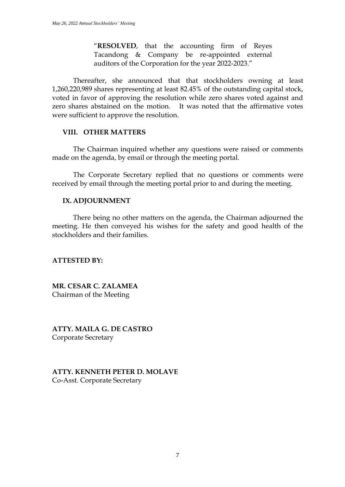"**RESOLVED**, that the accounting firm of Reyes Tacandong & Company be re-appointed external auditors of the Corporation for the year 2022-2023."

Thereafter, she announced that that stockholders owning at least 1,260,220,989 shares representing at least 82.45% of the outstanding capital stock, voted in favor of approving the resolution while zero shares voted against and zero shares abstained on the motion. It was noted that the affirmative votes were sufficient to approve the resolution.

## **VIII. OTHER MATTERS**

The Chairman inquired whether any questions were raised or comments made on the agenda, by email or through the meeting portal.

The Corporate Secretary replied that no questions or comments were received by email through the meeting portal prior to and during the meeting.

#### **IX. ADJOURNMENT**

There being no other matters on the agenda, the Chairman adjourned the meeting. He then conveyed his wishes for the safety and good health of the stockholders and their families.

## **ATTESTED BY:**

**MR. CESAR C. ZALAMEA** Chairman of the Meeting

**ATTY. MAILA G. DE CASTRO** Corporate Secretary

**ATTY. KENNETH PETER D. MOLAVE** Co-Asst. Corporate Secretary